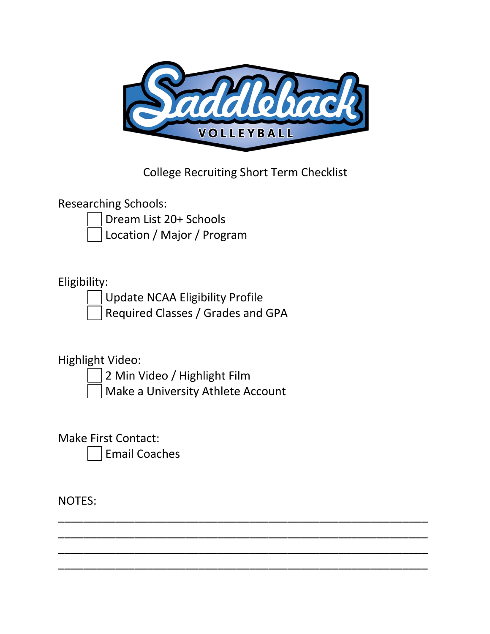

College Recruiting Short Term Checklist

\_\_\_\_\_\_\_\_\_\_\_\_\_\_\_\_\_\_\_\_\_\_\_\_\_\_\_\_\_\_\_\_\_\_\_\_\_\_\_\_\_\_\_\_\_\_\_\_\_\_\_\_\_\_\_\_\_\_ \_\_\_\_\_\_\_\_\_\_\_\_\_\_\_\_\_\_\_\_\_\_\_\_\_\_\_\_\_\_\_\_\_\_\_\_\_\_\_\_\_\_\_\_\_\_\_\_\_\_\_\_\_\_\_\_\_\_ \_\_\_\_\_\_\_\_\_\_\_\_\_\_\_\_\_\_\_\_\_\_\_\_\_\_\_\_\_\_\_\_\_\_\_\_\_\_\_\_\_\_\_\_\_\_\_\_\_\_\_\_\_\_\_\_\_\_ \_\_\_\_\_\_\_\_\_\_\_\_\_\_\_\_\_\_\_\_\_\_\_\_\_\_\_\_\_\_\_\_\_\_\_\_\_\_\_\_\_\_\_\_\_\_\_\_\_\_\_\_\_\_\_\_\_\_

Researching Schools:

Dream List 20+ Schools

Location / Major / Program

# Eligibility:

Update NCAA Eligibility Profile

Required Classes / Grades and GPA

# Highlight Video:

2 Min Video / Highlight Film

Make a University Athlete Account

Make First Contact:

Email Coaches

NOTES: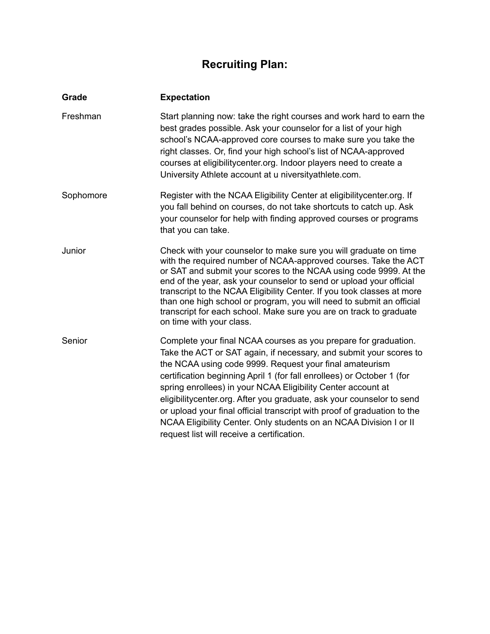# **Recruiting Plan:**

| Grade     | <b>Expectation</b>                                                                                                                                                                                                                                                                                                                                                                                                                                                                                                                                                                                                  |
|-----------|---------------------------------------------------------------------------------------------------------------------------------------------------------------------------------------------------------------------------------------------------------------------------------------------------------------------------------------------------------------------------------------------------------------------------------------------------------------------------------------------------------------------------------------------------------------------------------------------------------------------|
| Freshman  | Start planning now: take the right courses and work hard to earn the<br>best grades possible. Ask your counselor for a list of your high<br>school's NCAA-approved core courses to make sure you take the<br>right classes. Or, find your high school's list of NCAA-approved<br>courses at eligibilitycenter.org. Indoor players need to create a<br>University Athlete account at u niversityathlete.com.                                                                                                                                                                                                         |
| Sophomore | Register with the NCAA Eligibility Center at eligibility center org. If<br>you fall behind on courses, do not take shortcuts to catch up. Ask<br>your counselor for help with finding approved courses or programs<br>that you can take.                                                                                                                                                                                                                                                                                                                                                                            |
| Junior    | Check with your counselor to make sure you will graduate on time<br>with the required number of NCAA-approved courses. Take the ACT<br>or SAT and submit your scores to the NCAA using code 9999. At the<br>end of the year, ask your counselor to send or upload your official<br>transcript to the NCAA Eligibility Center. If you took classes at more<br>than one high school or program, you will need to submit an official<br>transcript for each school. Make sure you are on track to graduate<br>on time with your class.                                                                                 |
| Senior    | Complete your final NCAA courses as you prepare for graduation.<br>Take the ACT or SAT again, if necessary, and submit your scores to<br>the NCAA using code 9999. Request your final amateurism<br>certification beginning April 1 (for fall enrollees) or October 1 (for<br>spring enrollees) in your NCAA Eligibility Center account at<br>eligibilitycenter.org. After you graduate, ask your counselor to send<br>or upload your final official transcript with proof of graduation to the<br>NCAA Eligibility Center. Only students on an NCAA Division I or II<br>request list will receive a certification. |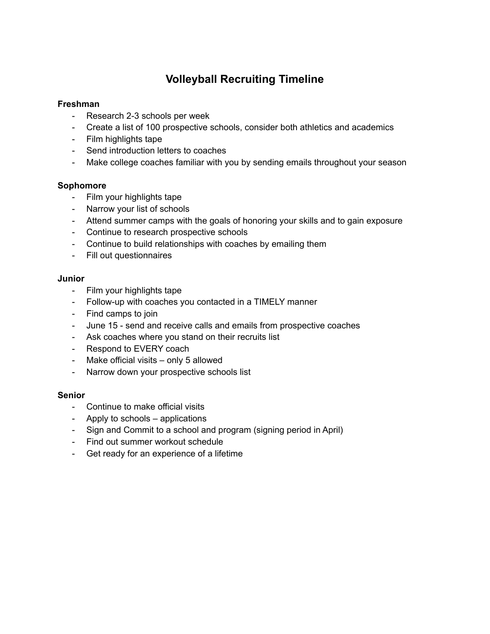## **Volleyball Recruiting Timeline**

### **Freshman**

- Research 2-3 schools per week
- Create a list of 100 prospective schools, consider both athletics and academics
- Film highlights tape
- Send introduction letters to coaches
- Make college coaches familiar with you by sending emails throughout your season

### **Sophomore**

- Film your highlights tape
- Narrow your list of schools
- Attend summer camps with the goals of honoring your skills and to gain exposure
- Continue to research prospective schools
- Continue to build relationships with coaches by emailing them
- Fill out questionnaires

### **Junior**

- Film your highlights tape
- Follow-up with coaches you contacted in a TIMELY manner
- Find camps to join
- June 15 send and receive calls and emails from prospective coaches
- Ask coaches where you stand on their recruits list
- Respond to EVERY coach
- Make official visits only 5 allowed
- Narrow down your prospective schools list

### **Senior**

- Continue to make official visits
- Apply to schools applications
- Sign and Commit to a school and program (signing period in April)
- Find out summer workout schedule
- Get ready for an experience of a lifetime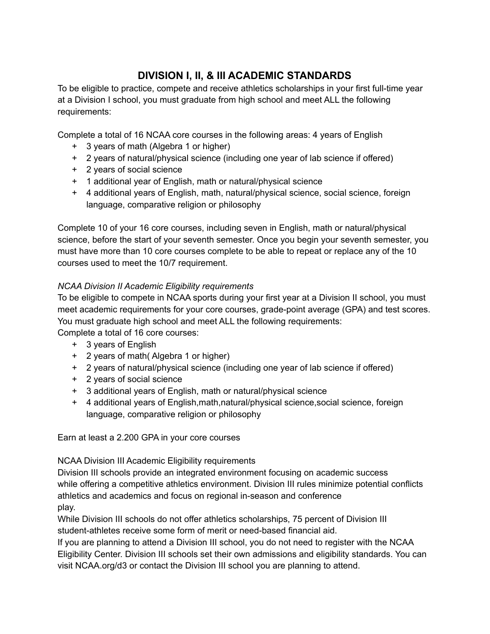## **DIVISION I, II, & III ACADEMIC STANDARDS**

To be eligible to practice, compete and receive athletics scholarships in your first full-time year at a Division I school, you must graduate from high school and meet ALL the following requirements:

Complete a total of 16 NCAA core courses in the following areas: 4 years of English

- + 3 years of math (Algebra 1 or higher)
- + 2 years of natural/physical science (including one year of lab science if offered)
- + 2 years of social science
- + 1 additional year of English, math or natural/physical science
- + 4 additional years of English, math, natural/physical science, social science, foreign language, comparative religion or philosophy

Complete 10 of your 16 core courses, including seven in English, math or natural/physical science, before the start of your seventh semester. Once you begin your seventh semester, you must have more than 10 core courses complete to be able to repeat or replace any of the 10 courses used to meet the 10/7 requirement.

### *NCAA Division II Academic Eligibility requirements*

To be eligible to compete in NCAA sports during your first year at a Division II school, you must meet academic requirements for your core courses, grade-point average (GPA) and test scores. You must graduate high school and meet ALL the following requirements: Complete a total of 16 core courses:

+ 3 years of English

- + 2 years of math( Algebra 1 or higher)
- + 2 years of natural/physical science (including one year of lab science if offered)
- + 2 years of social science
- + 3 additional years of English, math or natural/physical science
- + 4 additional years of English,math,natural/physical science,social science, foreign language, comparative religion or philosophy

Earn at least a 2.200 GPA in your core courses

NCAA Division III Academic Eligibility requirements

Division III schools provide an integrated environment focusing on academic success while offering a competitive athletics environment. Division III rules minimize potential conflicts athletics and academics and focus on regional in-season and conference play.

While Division III schools do not offer athletics scholarships, 75 percent of Division III student-athletes receive some form of merit or need-based financial aid.

If you are planning to attend a Division III school, you do not need to register with the NCAA Eligibility Center. Division III schools set their own admissions and eligibility standards. You can visit NCAA.org/d3 or contact the Division III school you are planning to attend.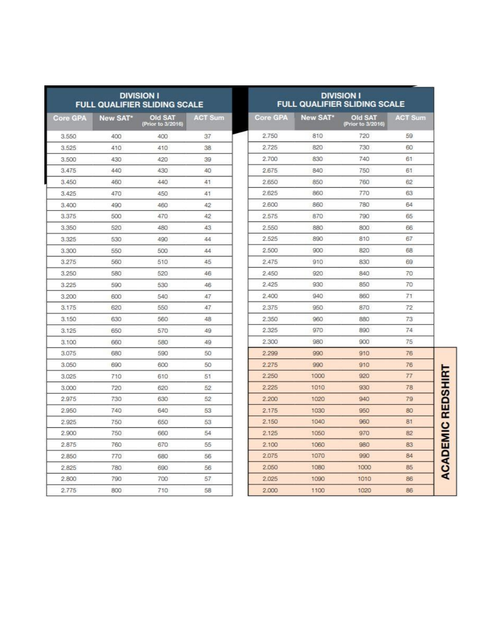| <b>DIVISION I</b><br><b>FULL QUALIFIER SLIDING SCALE</b> |          |                              | <b>DIVISION I</b><br><b>FULL QUALIFIER SLIDING SCALE</b> |                 |          |                              |                |
|----------------------------------------------------------|----------|------------------------------|----------------------------------------------------------|-----------------|----------|------------------------------|----------------|
| <b>Core GPA</b>                                          | New SAT* | Old SAT<br>(Prior to 3/2016) | <b>ACT Sum</b>                                           | <b>Core GPA</b> | New SAT* | Old SAT<br>(Prior to 3/2016) | <b>ACT Sum</b> |
| 3.550                                                    | 400      | 400                          | 37                                                       | 2.750           | 810      | 720                          | 59             |
| 3.525                                                    | 410      | 410                          | 38                                                       | 2.725           | 820      | 730                          | 60             |
| 3.500                                                    | 430      | 420                          | 39                                                       | 2.700           | 830      | 740                          | 61             |
| 3.475                                                    | 440      | 430                          | 40                                                       | 2,675           | 840      | 750                          | 61             |
| 3.450                                                    | 460      | 440                          | 41                                                       | 2.650           | 850      | 760                          | 62             |
| 3.425                                                    | 470      | 450                          | 41                                                       | 2.625           | 860      | 770                          | 63             |
| 3.400                                                    | 490      | 460                          | 42                                                       | 2,600           | 860      | 780                          | 64             |
| 3.375                                                    | 500      | 470                          | 42                                                       | 2.575           | 870      | 790                          | 65             |
| 3.350                                                    | 520      | 480                          | 43                                                       | 2.550           | 880      | 800                          | 66             |
| 3.325                                                    | 530      | 490                          | 44                                                       | 2.525           | 890      | 810                          | 67             |
| 3.300                                                    | 550      | 500                          | 44                                                       | 2.500           | 900      | 820                          | 68             |
| 3.275                                                    | 560      | 510                          | 45                                                       | 2.475           | 910      | 830                          | 69             |
| 3.250                                                    | 580      | 520                          | 46                                                       | 2.450           | 920      | 840                          | 70             |
| 3.225                                                    | 590      | 530                          | 46                                                       | 2.425           | 930      | 850                          | 70             |
| 3.200                                                    | 600      | 540                          | 47                                                       | 2.400           | 940      | 860                          | 71             |
| 3.175                                                    | 620      | 550                          | 47                                                       | 2.375           | 950      | 870                          | 72             |
| 3.150                                                    | 630      | 560                          | 48                                                       | 2.350           | 960      | 880                          | 73             |
| 3.125                                                    | 650      | 570                          | 49                                                       | 2.325           | 970      | 890                          | 74             |
| 3.100                                                    | 660      | 580                          | 49                                                       | 2.300           | 980      | 900                          | 75             |
| 3.075                                                    | 680      | 590                          | 50                                                       | 2.299           | 990      | 910                          | 76             |
| 3.050                                                    | 690      | 600                          | 50                                                       | 2.275           | 990      | 910                          | 76             |
| 3.025                                                    | 710      | 610                          | 51                                                       | 2.250           | 1000     | 920                          | 77             |
| 3.000                                                    | 720      | 620                          | 52                                                       | 2.225           | 1010     | 930                          | 78             |
| 2.975                                                    | 730      | 630                          | 52                                                       | 2.200           | 1020     | 940                          | 79             |
| 2.950                                                    | 740      | 640                          | 53                                                       | 2.175           | 1030     | 950                          | 80             |
| 2.925                                                    | 750      | 650                          | 53                                                       | 2.150           | 1040     | 960                          | 81             |
| 2.900                                                    | 750      | 660                          | 54                                                       | 2.125           | 1050     | 970                          | 82             |
| 2.875                                                    | 760      | 670                          | 55                                                       | 2.100           | 1060     | 980                          | 83             |
| 2,850                                                    | 770      | 680                          | 56                                                       | 2.075           | 1070     | 990                          | 84             |
| 2.825                                                    | 780      | 690                          | 56                                                       | 2.050           | 1080     | 1000                         | 85             |
| 2.800                                                    | 790      | 700                          | 57                                                       | 2.025           | 1090     | 1010                         | 86             |
| 2.775                                                    | 800      | 710                          | 58                                                       | 2.000           | 1100     | 1020                         | 86             |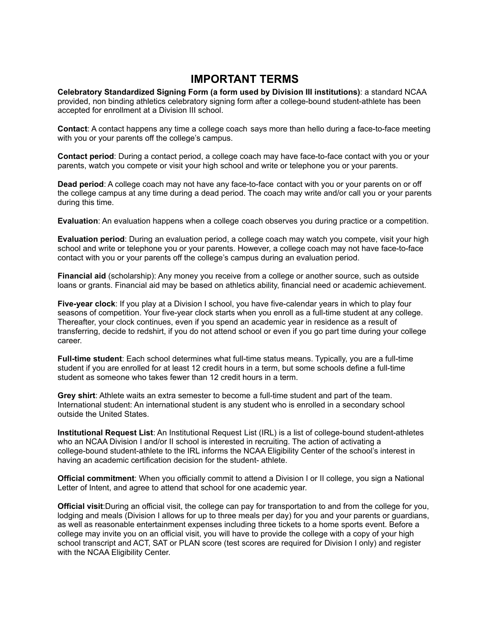### **IMPORTANT TERMS**

**Celebratory Standardized Signing Form (a form used by Division III institutions)**: a standard NCAA provided, non binding athletics celebratory signing form after a college-bound student-athlete has been accepted for enrollment at a Division III school.

**Contact**: A contact happens any time a college coach says more than hello during a face-to-face meeting with you or your parents off the college's campus.

**Contact period**: During a contact period, a college coach may have face-to-face contact with you or your parents, watch you compete or visit your high school and write or telephone you or your parents.

**Dead period**: A college coach may not have any face-to-face contact with you or your parents on or off the college campus at any time during a dead period. The coach may write and/or call you or your parents during this time.

**Evaluation**: An evaluation happens when a college coach observes you during practice or a competition.

**Evaluation period**: During an evaluation period, a college coach may watch you compete, visit your high school and write or telephone you or your parents. However, a college coach may not have face-to-face contact with you or your parents off the college's campus during an evaluation period.

**Financial aid** (scholarship): Any money you receive from a college or another source, such as outside loans or grants. Financial aid may be based on athletics ability, financial need or academic achievement.

**Five-year clock**: If you play at a Division I school, you have five-calendar years in which to play four seasons of competition. Your five-year clock starts when you enroll as a full-time student at any college. Thereafter, your clock continues, even if you spend an academic year in residence as a result of transferring, decide to redshirt, if you do not attend school or even if you go part time during your college career.

**Full-time student**: Each school determines what full-time status means. Typically, you are a full-time student if you are enrolled for at least 12 credit hours in a term, but some schools define a full-time student as someone who takes fewer than 12 credit hours in a term.

**Grey shirt**: Athlete waits an extra semester to become a full-time student and part of the team. International student: An international student is any student who is enrolled in a secondary school outside the United States.

**Institutional Request List**: An Institutional Request List (IRL) is a list of college-bound student-athletes who an NCAA Division I and/or II school is interested in recruiting. The action of activating a college-bound student-athlete to the IRL informs the NCAA Eligibility Center of the school's interest in having an academic certification decision for the student- athlete.

**Official commitment**: When you officially commit to attend a Division I or II college, you sign a National Letter of Intent, and agree to attend that school for one academic year.

**Official visit**:During an official visit, the college can pay for transportation to and from the college for you, lodging and meals (Division I allows for up to three meals per day) for you and your parents or guardians, as well as reasonable entertainment expenses including three tickets to a home sports event. Before a college may invite you on an official visit, you will have to provide the college with a copy of your high school transcript and ACT, SAT or PLAN score (test scores are required for Division I only) and register with the NCAA Eligibility Center.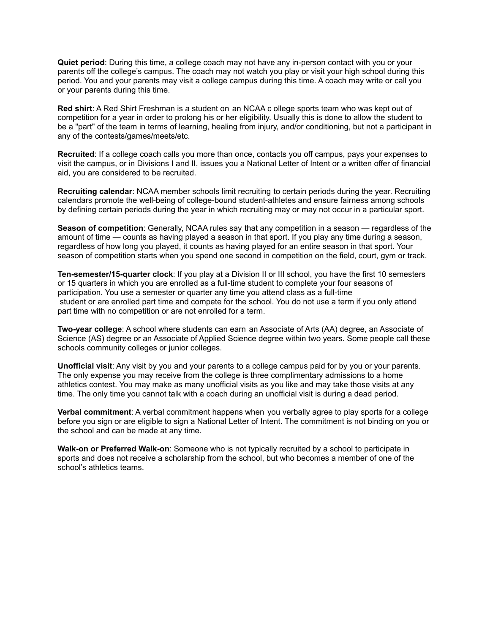**Quiet period**: During this time, a college coach may not have any in-person contact with you or your parents off the college's campus. The coach may not watch you play or visit your high school during this period. You and your parents may visit a college campus during this time. A coach may write or call you or your parents during this time.

**Red shirt**: A Red Shirt Freshman is a student on an NCAA c ollege sports team who was kept out of competition for a year in order to prolong his or her eligibility. Usually this is done to allow the student to be a "part" of the team in terms of learning, healing from injury, and/or conditioning, but not a participant in any of the contests/games/meets/etc.

**Recruited**: If a college coach calls you more than once, contacts you off campus, pays your expenses to visit the campus, or in Divisions I and II, issues you a National Letter of Intent or a written offer of financial aid, you are considered to be recruited.

**Recruiting calendar**: NCAA member schools limit recruiting to certain periods during the year. Recruiting calendars promote the well-being of college-bound student-athletes and ensure fairness among schools by defining certain periods during the year in which recruiting may or may not occur in a particular sport.

**Season of competition**: Generally, NCAA rules say that any competition in a season — regardless of the amount of time — counts as having played a season in that sport. If you play any time during a season, regardless of how long you played, it counts as having played for an entire season in that sport. Your season of competition starts when you spend one second in competition on the field, court, gym or track.

**Ten-semester/15-quarter clock**: If you play at a Division II or III school, you have the first 10 semesters or 15 quarters in which you are enrolled as a full-time student to complete your four seasons of participation. You use a semester or quarter any time you attend class as a full-time student or are enrolled part time and compete for the school. You do not use a term if you only attend part time with no competition or are not enrolled for a term.

**Two-year college**: A school where students can earn an Associate of Arts (AA) degree, an Associate of Science (AS) degree or an Associate of Applied Science degree within two years. Some people call these schools community colleges or junior colleges.

**Unofficial visit**: Any visit by you and your parents to a college campus paid for by you or your parents. The only expense you may receive from the college is three complimentary admissions to a home athletics contest. You may make as many unofficial visits as you like and may take those visits at any time. The only time you cannot talk with a coach during an unofficial visit is during a dead period.

**Verbal commitment**: A verbal commitment happens when you verbally agree to play sports for a college before you sign or are eligible to sign a National Letter of Intent. The commitment is not binding on you or the school and can be made at any time.

**Walk-on or Preferred Walk-on**: Someone who is not typically recruited by a school to participate in sports and does not receive a scholarship from the school, but who becomes a member of one of the school's athletics teams.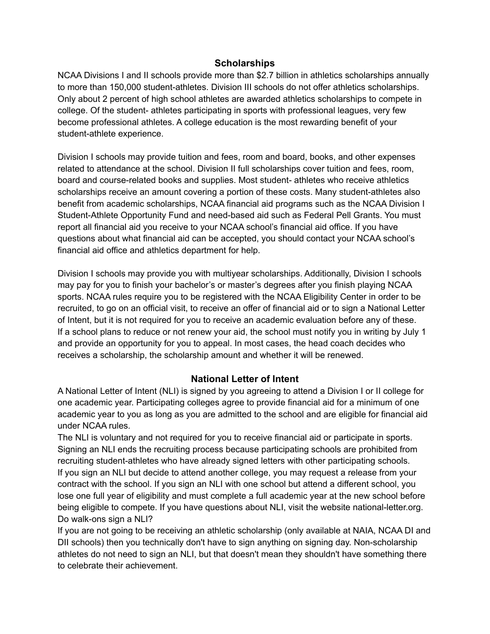### **Scholarships**

NCAA Divisions I and II schools provide more than \$2.7 billion in athletics scholarships annually to more than 150,000 student-athletes. Division III schools do not offer athletics scholarships. Only about 2 percent of high school athletes are awarded athletics scholarships to compete in college. Of the student- athletes participating in sports with professional leagues, very few become professional athletes. A college education is the most rewarding benefit of your student-athlete experience.

Division I schools may provide tuition and fees, room and board, books, and other expenses related to attendance at the school. Division II full scholarships cover tuition and fees, room, board and course-related books and supplies. Most student- athletes who receive athletics scholarships receive an amount covering a portion of these costs. Many student-athletes also benefit from academic scholarships, NCAA financial aid programs such as the NCAA Division I Student-Athlete Opportunity Fund and need-based aid such as Federal Pell Grants. You must report all financial aid you receive to your NCAA school's financial aid office. If you have questions about what financial aid can be accepted, you should contact your NCAA school's financial aid office and athletics department for help.

Division I schools may provide you with multiyear scholarships. Additionally, Division I schools may pay for you to finish your bachelor's or master's degrees after you finish playing NCAA sports. NCAA rules require you to be registered with the NCAA Eligibility Center in order to be recruited, to go on an official visit, to receive an offer of financial aid or to sign a National Letter of Intent, but it is not required for you to receive an academic evaluation before any of these. If a school plans to reduce or not renew your aid, the school must notify you in writing by July 1 and provide an opportunity for you to appeal. In most cases, the head coach decides who receives a scholarship, the scholarship amount and whether it will be renewed.

### **National Letter of Intent**

A National Letter of Intent (NLI) is signed by you agreeing to attend a Division I or II college for one academic year. Participating colleges agree to provide financial aid for a minimum of one academic year to you as long as you are admitted to the school and are eligible for financial aid under NCAA rules.

The NLI is voluntary and not required for you to receive financial aid or participate in sports. Signing an NLI ends the recruiting process because participating schools are prohibited from recruiting student-athletes who have already signed letters with other participating schools. If you sign an NLI but decide to attend another college, you may request a release from your contract with the school. If you sign an NLI with one school but attend a different school, you lose one full year of eligibility and must complete a full academic year at the new school before being eligible to compete. If you have questions about NLI, visit the website national-letter.org. Do walk-ons sign a NLI?

If you are not going to be receiving an athletic scholarship (only available at NAIA, NCAA DI and DII schools) then you technically don't have to sign anything on signing day. Non-scholarship athletes do not need to sign an NLI, but that doesn't mean they shouldn't have something there to celebrate their achievement.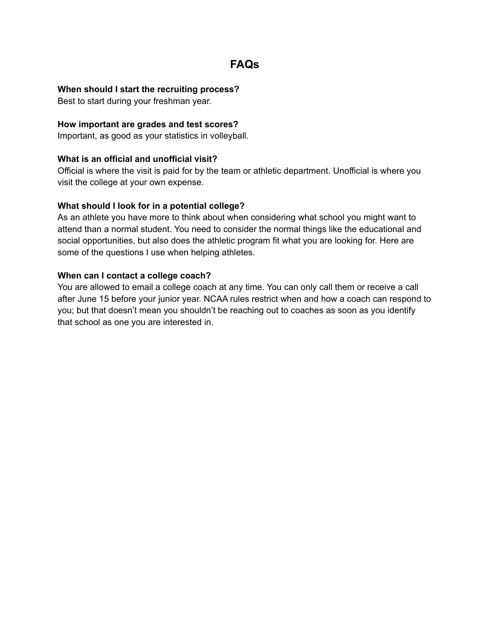## **FAQs**

### **When should I start the recruiting process?**

Best to start during your freshman year.

### **How important are grades and test scores?**

Important, as good as your statistics in volleyball.

### **What is an official and unofficial visit?**

Official is where the visit is paid for by the team or athletic department. Unofficial is where you visit the college at your own expense.

### **What should I look for in a potential college?**

As an athlete you have more to think about when considering what school you might want to attend than a normal student. You need to consider the normal things like the educational and social opportunities, but also does the athletic program fit what you are looking for. Here are some of the questions I use when helping athletes.

#### **When can I contact a college coach?**

You are allowed to email a college coach at any time. You can only call them or receive a call after June 15 before your junior year. NCAA rules restrict when and how a coach can respond to you; but that doesn't mean you shouldn't be reaching out to coaches as soon as you identify that school as one you are interested in.